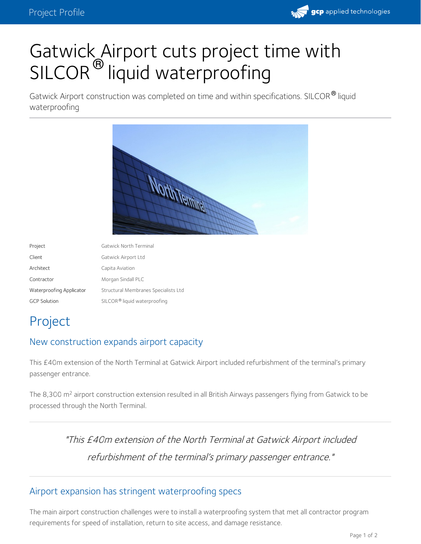

# Gatwick Airport cuts project time with SILCOR<sup>®</sup> liquid waterproofing

Gatwick Airport construction was completed on time and within specifications. SILCOR<sup>®</sup> liquid waterproofing



| Project                  | Gatwick North Terminal                   |
|--------------------------|------------------------------------------|
| Client                   | Gatwick Airport Ltd                      |
| Architect                | Capita Aviation                          |
| Contractor               | Morgan Sindall PLC                       |
| Waterproofing Applicator | Structural Membranes Specialists Ltd     |
| <b>GCP Solution</b>      | SILCOR <sup>®</sup> liquid waterproofing |

## Project

#### New construction expands airport capacity

This £40m extension of the North Terminal at Gatwick Airport included refurbishment of the terminal's primary passenger entrance.

The 8,300 m<sup>2</sup> airport construction extension resulted in all British Airways passengers flying from Gatwick to be processed through the North Terminal.

> "This £40m extension of the North Terminal at Gatwick Airport included refurbishment of the terminal's primary passenger entrance."

#### Airport expansion has stringent waterproofing specs

The main airport construction challenges were to install a waterproofing system that met all contractor program requirements for speed of installation, return to site access, and damage resistance.